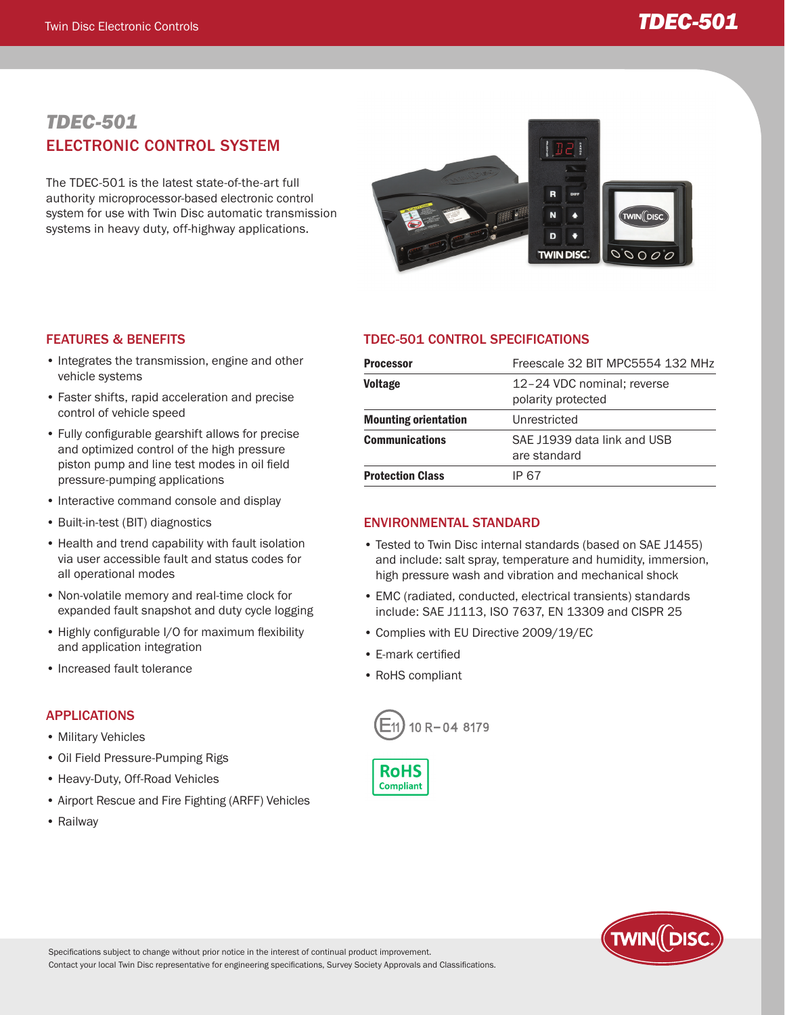# Twin Disc Electronic Controls *TDEC-501*

## *TDEC-501* ELECTRONIC CONTROL SYSTEM

The TDEC-501 is the latest state-of-the-art full authority microprocessor-based electronic control system for use with Twin Disc automatic transmission systems in heavy duty, off-highway applications.



#### FEATURES & BENEFITS

- Integrates the transmission, engine and other vehicle systems
- Faster shifts, rapid acceleration and precise control of vehicle speed
- Fully configurable gearshift allows for precise and optimized control of the high pressure piston pump and line test modes in oil field pressure-pumping applications
- Interactive command console and display
- Built-in-test (BIT) diagnostics
- Health and trend capability with fault isolation via user accessible fault and status codes for all operational modes
- Non-volatile memory and real-time clock for expanded fault snapshot and duty cycle logging
- Highly configurable I/O for maximum flexibility and application integration
- Increased fault tolerance

#### APPLICATIONS

- Military Vehicles
- Oil Field Pressure-Pumping Rigs
- Heavy-Duty, Off-Road Vehicles
- Airport Rescue and Fire Fighting (ARFF) Vehicles
- Railway

### TDEC-501 CONTROL SPECIFICATIONS

| <b>Processor</b>            | Freescale 32 BIT MPC5554 132 MHz                 |
|-----------------------------|--------------------------------------------------|
| <b>Voltage</b>              | 12-24 VDC nominal; reverse<br>polarity protected |
| <b>Mounting orientation</b> | Unrestricted                                     |
| <b>Communications</b>       | SAE J1939 data link and USB<br>are standard      |
| <b>Protection Class</b>     | IP 67                                            |

#### ENVIRONMENTAL STANDARD

- Tested to Twin Disc internal standards (based on SAE J1455) and include: salt spray, temperature and humidity, immersion, high pressure wash and vibration and mechanical shock
- EMC (radiated, conducted, electrical transients) standards include: SAE J1113, ISO 7637, EN 13309 and CISPR 25
- Complies with EU Directive 2009/19/EC
- E-mark certified
- RoHS compliant







Specifications subject to change without prior notice in the interest of continual product improvement.

Contact your local Twin Disc representative for engineering specifications, Survey Society Approvals and Classifications.